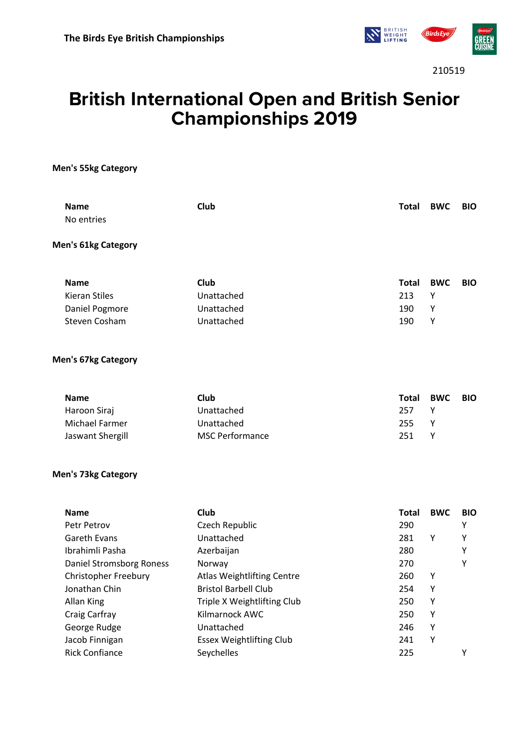

210519

# **British International Open and British Senior Championships 2019**

**Men's 55kg Category**

| <b>Name</b><br>No entries  | Club                              | Total        | <b>BWC</b> | <b>BIO</b> |
|----------------------------|-----------------------------------|--------------|------------|------------|
| <b>Men's 61kg Category</b> |                                   |              |            |            |
| <b>Name</b>                | Club                              | <b>Total</b> | <b>BWC</b> | <b>BIO</b> |
| <b>Kieran Stiles</b>       | Unattached                        | 213          | Υ          |            |
| Daniel Pogmore             | Unattached                        | 190          | Υ          |            |
| <b>Steven Cosham</b>       | Unattached                        | 190          | Υ          |            |
| <b>Men's 67kg Category</b> |                                   |              |            |            |
| <b>Name</b>                | Club                              | <b>Total</b> | <b>BWC</b> | <b>BIO</b> |
| Haroon Siraj               | Unattached                        | 257          | Y          |            |
| Michael Farmer             | Unattached                        | 255          | Υ          |            |
| Jaswant Shergill           | <b>MSC Performance</b>            | 251          | Υ          |            |
| <b>Men's 73kg Category</b> |                                   |              |            |            |
| <b>Name</b>                | Club                              | <b>Total</b> | <b>BWC</b> | <b>BIO</b> |
| Petr Petrov                | Czech Republic                    | 290          |            | Υ          |
| <b>Gareth Evans</b>        | Unattached                        | 281          | Υ          | Y          |
| Ibrahimli Pasha            | Azerbaijan                        | 280          |            | Υ          |
| Daniel Stromsborg Roness   | Norway                            | 270          |            | Υ          |
| Christopher Freebury       | <b>Atlas Weightlifting Centre</b> | 260          | Υ          |            |
| Jonathan Chin              | <b>Bristol Barbell Club</b>       | 254          | Υ          |            |
| <b>Allan King</b>          | Triple X Weightlifting Club       | 250          | Υ          |            |
| Craig Carfray              | Kilmarnock AWC                    | 250          | Υ          |            |
| George Rudge               | Unattached                        | 246          | Υ          |            |
| Jacob Finnigan             | <b>Essex Weightlifting Club</b>   | 241          | Υ          |            |
| <b>Rick Confiance</b>      | Seychelles                        | 225          |            | Υ          |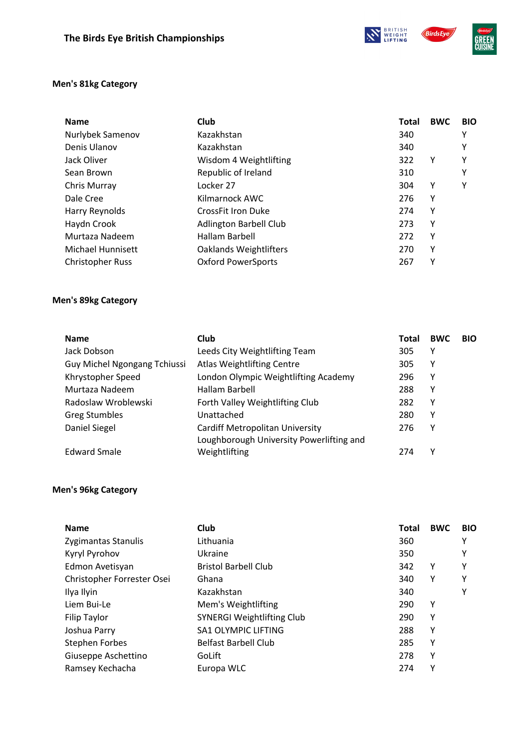**NATIONAL BRITISH BirdsEye** 

#### **Men's 81kg Category**

| <b>Name</b>             | Club                          | <b>Total</b> | <b>BWC</b> | <b>BIO</b> |
|-------------------------|-------------------------------|--------------|------------|------------|
| Nurlybek Samenov        | Kazakhstan                    | 340          |            | Υ          |
| Denis Ulanov            | Kazakhstan                    | 340          |            | Υ          |
| Jack Oliver             | Wisdom 4 Weightlifting        | 322          | Υ          | Υ          |
| Sean Brown              | Republic of Ireland           | 310          |            | Υ          |
| Chris Murray            | Locker 27                     | 304          | Υ          | Υ          |
| Dale Cree               | Kilmarnock AWC                | 276          | Υ          |            |
| Harry Reynolds          | CrossFit Iron Duke            | 274          | Υ          |            |
| Haydn Crook             | <b>Adlington Barbell Club</b> | 273          | Υ          |            |
| Murtaza Nadeem          | Hallam Barbell                | 272          | Υ          |            |
| Michael Hunnisett       | <b>Oaklands Weightlifters</b> | 270          | Υ          |            |
| <b>Christopher Russ</b> | <b>Oxford PowerSports</b>     | 267          | γ          |            |

#### **Men's 89kg Category**

| <b>Name</b>                  | <b>Club</b>                              | <b>Total</b> | <b>BWC</b> | <b>BIO</b> |
|------------------------------|------------------------------------------|--------------|------------|------------|
| Jack Dobson                  | Leeds City Weightlifting Team            | 305          | Υ          |            |
| Guy Michel Ngongang Tchiussi | <b>Atlas Weightlifting Centre</b>        | 305          | Y          |            |
| Khrystopher Speed            | London Olympic Weightlifting Academy     | 296          | Υ          |            |
| Murtaza Nadeem               | Hallam Barbell                           | 288          | Υ          |            |
| Radoslaw Wroblewski          | Forth Valley Weightlifting Club          | 282          | Υ          |            |
| <b>Greg Stumbles</b>         | Unattached                               | 280          | Υ          |            |
| Daniel Siegel                | Cardiff Metropolitan University          | 276          | Y          |            |
|                              | Loughborough University Powerlifting and |              |            |            |
| <b>Edward Smale</b>          | Weightlifting                            | 274          | ٧          |            |

#### **Men's 96kg Category**

| <b>Name</b>                | Club                              | Total | <b>BWC</b> | <b>BIO</b> |
|----------------------------|-----------------------------------|-------|------------|------------|
| Zygimantas Stanulis        | Lithuania                         | 360   |            | Υ          |
| Kyryl Pyrohov              | Ukraine                           | 350   |            | Υ          |
| Edmon Avetisyan            | <b>Bristol Barbell Club</b>       | 342   | Υ          | Υ          |
| Christopher Forrester Osei | Ghana                             | 340   | Υ          | Υ          |
| Ilya Ilyin                 | Kazakhstan                        | 340   |            | Υ          |
| Liem Bui-Le                | Mem's Weightlifting               | 290   | Υ          |            |
| Filip Taylor               | <b>SYNERGI Weightlifting Club</b> | 290   | Υ          |            |
| Joshua Parry               | <b>SA1 OLYMPIC LIFTING</b>        | 288   | Υ          |            |
| <b>Stephen Forbes</b>      | <b>Belfast Barbell Club</b>       | 285   | Υ          |            |
| Giuseppe Aschettino        | GoLift                            | 278   | Υ          |            |
| Ramsey Kechacha            | Europa WLC                        | 274   | Υ          |            |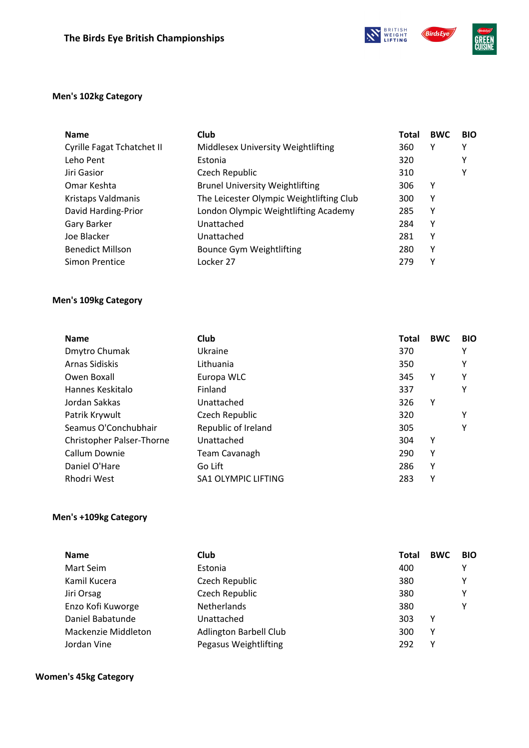**N BRITISH BirdsEye** 



#### **Men's 102kg Category**

| <b>Name</b>                | <b>Club</b>                              | Total | <b>BWC</b> | <b>BIO</b> |
|----------------------------|------------------------------------------|-------|------------|------------|
| Cyrille Fagat Tchatchet II | Middlesex University Weightlifting       | 360   | Υ          | Υ          |
| Leho Pent                  | Estonia                                  | 320   |            | Y          |
| Jiri Gasior                | Czech Republic                           | 310   |            | Y          |
| Omar Keshta                | <b>Brunel University Weightlifting</b>   | 306   | Υ          |            |
| Kristaps Valdmanis         | The Leicester Olympic Weightlifting Club | 300   | Υ          |            |
| David Harding-Prior        | London Olympic Weightlifting Academy     | 285   | Υ          |            |
| Gary Barker                | Unattached                               | 284   | Υ          |            |
| Joe Blacker                | Unattached                               | 281   | Υ          |            |
| <b>Benedict Millson</b>    | <b>Bounce Gym Weightlifting</b>          | 280   | Υ          |            |
| Simon Prentice             | Locker 27                                | 279   | Y          |            |

#### **Men's 109kg Category**

| <b>Name</b>               | Club                       | Total | <b>BWC</b> | <b>BIO</b> |
|---------------------------|----------------------------|-------|------------|------------|
| Dmytro Chumak             | Ukraine                    | 370   |            | Υ          |
| Arnas Sidiskis            | Lithuania                  | 350   |            | Υ          |
| Owen Boxall               | Europa WLC                 | 345   | Υ          | Υ          |
| Hannes Keskitalo          | Finland                    | 337   |            | Υ          |
| Jordan Sakkas             | Unattached                 | 326   | Υ          |            |
| Patrik Krywult            | Czech Republic             | 320   |            | Υ          |
| Seamus O'Conchubhair      | Republic of Ireland        | 305   |            | Υ          |
| Christopher Palser-Thorne | Unattached                 | 304   | Υ          |            |
| Callum Downie             | Team Cavanagh              | 290   | Υ          |            |
| Daniel O'Hare             | Go Lift                    | 286   | Υ          |            |
| Rhodri West               | <b>SA1 OLYMPIC LIFTING</b> | 283   | Υ          |            |

### **Men's +109kg Category**

| <b>Name</b>         | Club                          | Total    | <b>BWC</b> | <b>BIO</b> |
|---------------------|-------------------------------|----------|------------|------------|
| Mart Seim           | Estonia                       | 400      |            | Υ          |
| Kamil Kucera        | Czech Republic                | 380      |            | Υ          |
| Jiri Orsag          | Czech Republic                | 380      |            | Υ          |
| Enzo Kofi Kuworge   | <b>Netherlands</b>            | 380      |            | Υ          |
| Daniel Babatunde    | Unattached                    | 303<br>v |            |            |
| Mackenzie Middleton | <b>Adlington Barbell Club</b> | ٧<br>300 |            |            |
| Jordan Vine         | Pegasus Weightlifting         | 292<br>ν |            |            |

#### **Women's 45kg Category**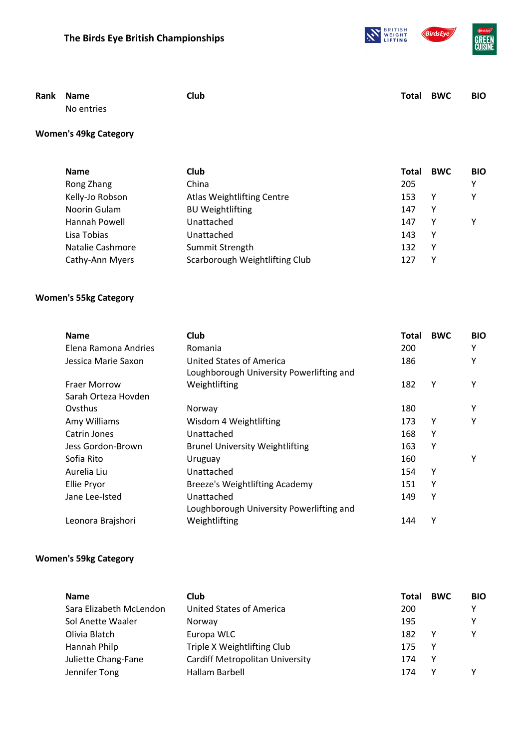



| Rank Name  | <b>Club</b> | <b>Total BWC</b> | <b>BIO</b> |
|------------|-------------|------------------|------------|
| No entries |             |                  |            |

# **Women's 49kg Category**

| <b>Name</b>      | Club.                             | <b>Total</b> | <b>BWC</b> | <b>BIO</b> |
|------------------|-----------------------------------|--------------|------------|------------|
| Rong Zhang       | China                             | 205          |            | γ          |
| Kelly-Jo Robson  | <b>Atlas Weightlifting Centre</b> | 153          | Y          | γ          |
| Noorin Gulam     | <b>BU Weightlifting</b>           | 147          | Y          |            |
| Hannah Powell    | Unattached                        | 147          | Υ          | ٧          |
| Lisa Tobias      | Unattached                        | 143          | Y          |            |
| Natalie Cashmore | Summit Strength                   | 132          | Y          |            |
| Cathy-Ann Myers  | Scarborough Weightlifting Club    | 12.          | ٧          |            |

#### **Women's 55kg Category**

| <b>Name</b>          | <b>Club</b>                              | <b>Total</b> | <b>BWC</b> | <b>BIO</b> |
|----------------------|------------------------------------------|--------------|------------|------------|
| Elena Ramona Andries | Romania                                  | 200          |            | Υ          |
| Jessica Marie Saxon  | United States of America                 | 186          |            | Υ          |
|                      | Loughborough University Powerlifting and |              |            |            |
| <b>Fraer Morrow</b>  | Weightlifting                            | 182          | γ          | Υ          |
| Sarah Orteza Hovden  |                                          |              |            |            |
| Ovsthus              | Norway                                   | 180          |            | Υ          |
| Amy Williams         | Wisdom 4 Weightlifting                   | 173          | Υ          | Υ          |
| Catrin Jones         | Unattached                               | 168          | Υ          |            |
| Jess Gordon-Brown    | <b>Brunel University Weightlifting</b>   | 163          | Υ          |            |
| Sofia Rito           | Uruguay                                  | 160          |            | Υ          |
| Aurelia Liu          | Unattached                               | 154          | Υ          |            |
| <b>Ellie Pryor</b>   | Breeze's Weightlifting Academy           | 151          | γ          |            |
| Jane Lee-Isted       | Unattached                               | 149          | Υ          |            |
|                      | Loughborough University Powerlifting and |              |            |            |
| Leonora Brajshori    | Weightlifting                            | 144          | Υ          |            |

#### **Women's 59kg Category**

| <b>Name</b>             | <b>Club</b>                            | <b>Total</b> | <b>BWC</b> | <b>BIO</b> |
|-------------------------|----------------------------------------|--------------|------------|------------|
| Sara Elizabeth McLendon | United States of America               | 200          |            | v          |
| Sol Anette Waaler       | Norway                                 | 195          |            | ٧          |
| Olivia Blatch           | Europa WLC                             | 182          |            |            |
| Hannah Philp            | Triple X Weightlifting Club            | 175          |            |            |
| Juliette Chang-Fane     | <b>Cardiff Metropolitan University</b> | 174          | Y          |            |
| Jennifer Tong           | Hallam Barbell                         | 174          |            |            |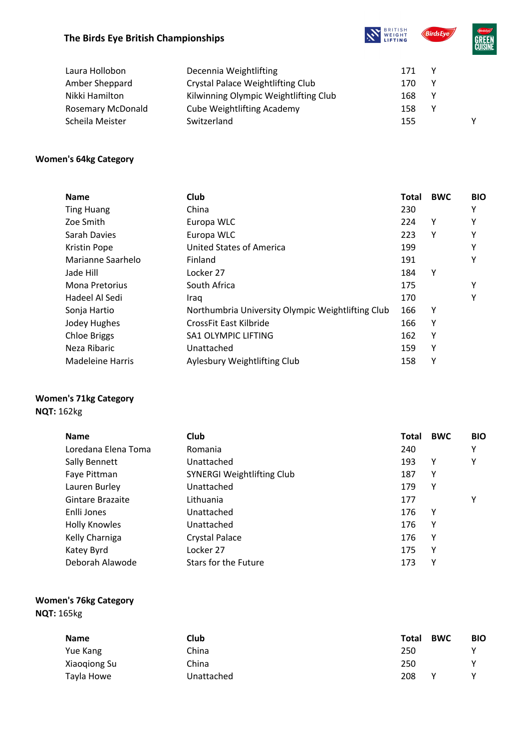# **The Birds Eye British Championships**





| Laura Hollobon           | Decennia Weightlifting                | 171 | v |   |
|--------------------------|---------------------------------------|-----|---|---|
| Amber Sheppard           | Crystal Palace Weightlifting Club     | 170 | ۷ |   |
| Nikki Hamilton           | Kilwinning Olympic Weightlifting Club | 168 | v |   |
| <b>Rosemary McDonald</b> | <b>Cube Weightlifting Academy</b>     | 158 | v |   |
| Scheila Meister          | Switzerland                           | 155 |   | ν |

#### **Women's 64kg Category**

| <b>Name</b>             | Club                                              | <b>Total</b> | <b>BWC</b> | <b>BIO</b> |
|-------------------------|---------------------------------------------------|--------------|------------|------------|
| <b>Ting Huang</b>       | China                                             | 230          |            | Υ          |
| Zoe Smith               | Europa WLC                                        | 224          | Υ          | Υ          |
| Sarah Davies            | Europa WLC                                        | 223          | Υ          | Υ          |
| <b>Kristin Pope</b>     | United States of America                          | 199          |            | Υ          |
| Marianne Saarhelo       | Finland                                           | 191          |            | Υ          |
| Jade Hill               | Locker 27                                         | 184          | Υ          |            |
| <b>Mona Pretorius</b>   | South Africa                                      | 175          |            | Υ          |
| Hadeel Al Sedi          | Iraq                                              | 170          |            | Υ          |
| Sonja Hartio            | Northumbria University Olympic Weightlifting Club | 166          | Υ          |            |
| Jodey Hughes            | CrossFit East Kilbride                            | 166          | Υ          |            |
| <b>Chloe Briggs</b>     | <b>SA1 OLYMPIC LIFTING</b>                        | 162          | Υ          |            |
| Neza Ribaric            | Unattached                                        | 159          | γ          |            |
| <b>Madeleine Harris</b> | Aylesbury Weightlifting Club                      | 158          | Υ          |            |

#### **Women's 71kg Category**

**NQT:** 162kg

| <b>Name</b>          | Club                              | <b>Total</b> | <b>BWC</b> | <b>BIO</b> |
|----------------------|-----------------------------------|--------------|------------|------------|
| Loredana Elena Toma  | Romania                           | 240          |            | Υ          |
| Sally Bennett        | Unattached                        | 193          | Υ          | Y          |
| Faye Pittman         | <b>SYNERGI Weightlifting Club</b> | 187          | Υ          |            |
| Lauren Burley        | Unattached                        | 179          | Υ          |            |
| Gintare Brazaite     | Lithuania                         | 177          |            | Υ          |
| Enlli Jones          | Unattached                        | 176          | Y          |            |
| <b>Holly Knowles</b> | Unattached                        | 176          | Υ          |            |
| Kelly Charniga       | <b>Crystal Palace</b>             | 176          | Υ          |            |
| Katey Byrd           | Locker 27                         | 175          | Υ          |            |
| Deborah Alawode      | Stars for the Future              | 173          | γ          |            |

## **Women's 76kg Category NQT:** 165kg

| <b>Name</b>  | Club       | Total | <b>BWC</b> | <b>BIO</b> |
|--------------|------------|-------|------------|------------|
| Yue Kang     | China      | 250   |            |            |
| Xiaogiong Su | China      | 250   |            |            |
| Tayla Howe   | Unattached | 208   | ٧          |            |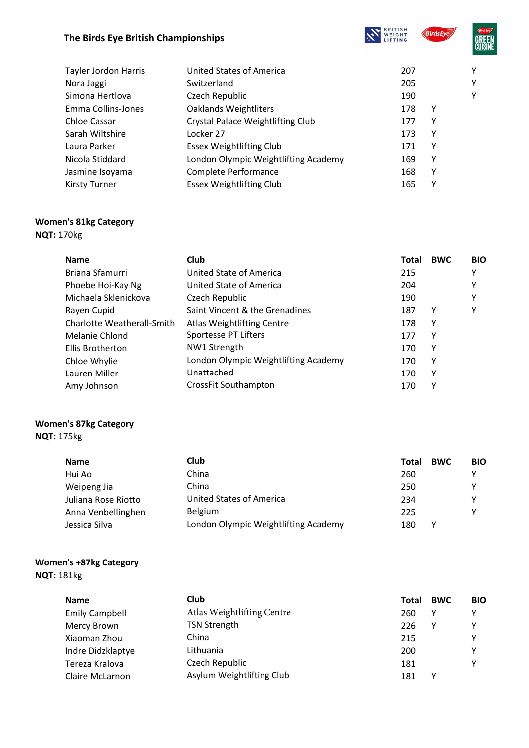# **The Birds Eye British Championships**





| <b>United States of America</b>      | 207 |   | Υ |
|--------------------------------------|-----|---|---|
| Switzerland                          | 205 |   | Υ |
| Czech Republic                       | 190 |   | Υ |
| <b>Oaklands Weightliters</b>         | 178 | γ |   |
| Crystal Palace Weightlifting Club    | 177 | Υ |   |
| Locker 27                            | 173 | γ |   |
| <b>Essex Weightlifting Club</b>      | 171 | γ |   |
| London Olympic Weightlifting Academy | 169 | Υ |   |
| Complete Performance                 | 168 | γ |   |
| <b>Essex Weightlifting Club</b>      | 165 | Y |   |
|                                      |     |   |   |

# **Women's 81kg Category**

# **NQT:** 170kg

| <b>Name</b>                | <b>Club</b>                          | Total | <b>BWC</b> | <b>BIO</b> |
|----------------------------|--------------------------------------|-------|------------|------------|
| Briana Sfamurri            | United State of America              | 215   |            | ۷          |
| Phoebe Hoi-Kay Ng          | United State of America              | 204   |            | Υ          |
| Michaela Sklenickova       | Czech Republic                       | 190   |            | v          |
| Rayen Cupid                | Saint Vincent & the Grenadines       | 187   | Υ          | γ          |
| Charlotte Weatherall-Smith | <b>Atlas Weightlifting Centre</b>    | 178   | Υ          |            |
| Melanie Chlond             | Sportesse PT Lifters                 | 177   | γ          |            |
| Ellis Brotherton           | NW1 Strength                         | 170   | Υ          |            |
| Chloe Whylie               | London Olympic Weightlifting Academy | 170   | Υ          |            |
| Lauren Miller              | Unattached                           | 170   | Υ          |            |
| Amy Johnson                | <b>CrossFit Southampton</b>          | 170   | ٧          |            |

#### **Women's 87kg Category NQT:** 175kg

| <b>Name</b>         | <b>Club</b>                          | <b>BWC</b><br>Total | <b>BIO</b> |
|---------------------|--------------------------------------|---------------------|------------|
| Hui Ao              | China                                | 260                 |            |
| Weipeng Jia         | China                                | 250                 |            |
| Juliana Rose Riotto | <b>United States of America</b>      | 234                 |            |
| Anna Venbellinghen  | <b>Belgium</b>                       | 225                 | v          |
| Jessica Silva       | London Olympic Weightlifting Academy | 180<br>v            |            |

#### **Women's +87kg Category NQT:** 181kg

| <b>Name</b>           | Club                       | Total | <b>BWC</b> | <b>BIO</b> |
|-----------------------|----------------------------|-------|------------|------------|
| <b>Emily Campbell</b> | Atlas Weightlifting Centre | 260   |            |            |
| Mercy Brown           | <b>TSN Strength</b>        | 226   |            |            |
| Xiaoman Zhou          | China                      | 215   |            | v          |
| Indre Didzklaptye     | Lithuania                  | 200   |            | v          |
| Tereza Kralova        | Czech Republic             | 181   |            | v          |
| Claire McLarnon       | Asylum Weightlifting Club  | 181   |            |            |